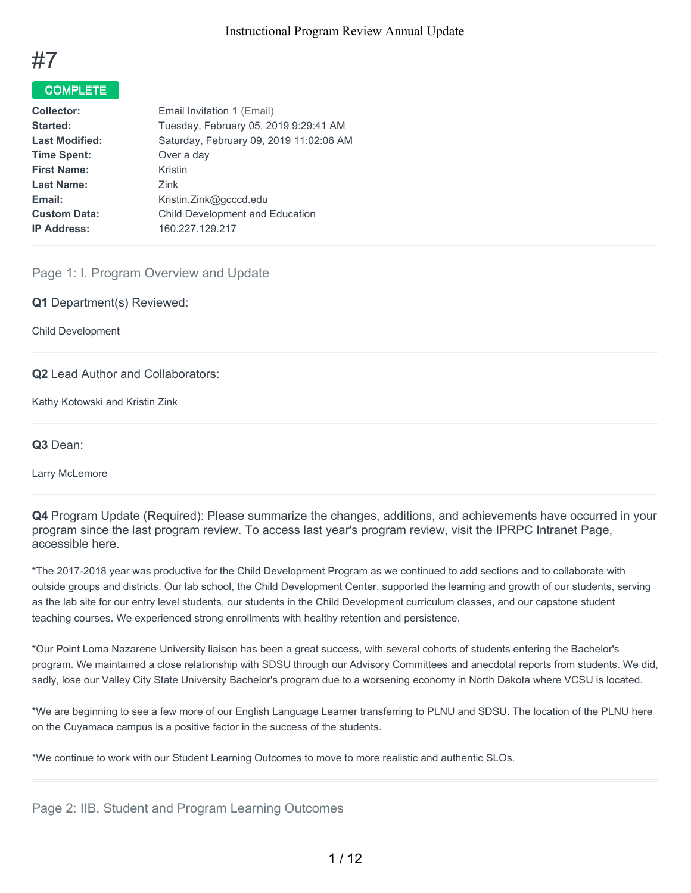

### COMPLETE

| Tuesday, February 05, 2019 9:29:41 AM<br>Started:<br>Saturday, February 09, 2019 11:02:06 AM<br><b>Last Modified:</b><br><b>Time Spent:</b><br>Over a day |
|-----------------------------------------------------------------------------------------------------------------------------------------------------------|
|                                                                                                                                                           |
|                                                                                                                                                           |
|                                                                                                                                                           |
| <b>First Name:</b><br>Kristin                                                                                                                             |
| <b>Last Name:</b><br><b>Zink</b>                                                                                                                          |
| Email:<br>Kristin.Zink@gcccd.edu                                                                                                                          |
| <b>Child Development and Education</b><br><b>Custom Data:</b>                                                                                             |
| 160.227.129.217<br><b>IP Address:</b>                                                                                                                     |

### Page 1: I. Program Overview and Update

#### **Q1** Department(s) Reviewed:

Child Development

#### **Q2** Lead Author and Collaborators:

Kathy Kotowski and Kristin Zink

**Q3** Dean:

Larry McLemore

**Q4** Program Update (Required): Please summarize the changes, additions, and achievements have occurred in your program since the last program review. To access last year's program review, visit the IPRPC Intranet Page, accessible here.

\*The 2017-2018 year was productive for the Child Development Program as we continued to add sections and to collaborate with outside groups and districts. Our lab school, the Child Development Center, supported the learning and growth of our students, serving as the lab site for our entry level students, our students in the Child Development curriculum classes, and our capstone student teaching courses. We experienced strong enrollments with healthy retention and persistence.

\*Our Point Loma Nazarene University liaison has been a great success, with several cohorts of students entering the Bachelor's program. We maintained a close relationship with SDSU through our Advisory Committees and anecdotal reports from students. We did, sadly, lose our Valley City State University Bachelor's program due to a worsening economy in North Dakota where VCSU is located.

\*We are beginning to see a few more of our English Language Learner transferring to PLNU and SDSU. The location of the PLNU here on the Cuyamaca campus is a positive factor in the success of the students.

\*We continue to work with our Student Learning Outcomes to move to more realistic and authentic SLOs.

### Page 2: IIB. Student and Program Learning Outcomes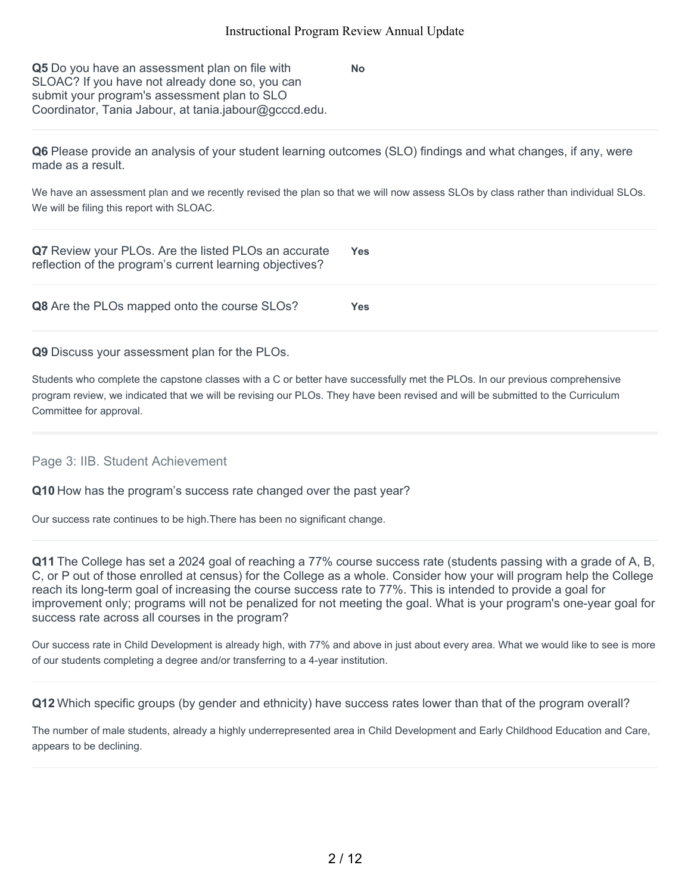**No**

**Q5** Do you have an assessment plan on file with SLOAC? If you have not already done so, you can submit your program's assessment plan to SLO Coordinator, Tania Jabour, at tania.jabour@gcccd.edu.

**Q6** Please provide an analysis of your student learning outcomes (SLO) findings and what changes, if any, were made as a result.

We have an assessment plan and we recently revised the plan so that we will now assess SLOs by class rather than individual SLOs. We will be filing this report with SLOAC.

| Q7 Review your PLOs. Are the listed PLOs an accurate<br>reflection of the program's current learning objectives? | <b>Yes</b> |
|------------------------------------------------------------------------------------------------------------------|------------|
| Q8 Are the PLOs mapped onto the course SLOs?                                                                     | Yes.       |

#### **Q9** Discuss your assessment plan for the PLOs.

Students who complete the capstone classes with a C or better have successfully met the PLOs. In our previous comprehensive program review, we indicated that we will be revising our PLOs. They have been revised and will be submitted to the Curriculum Committee for approval.

### Page 3: IIB. Student Achievement

**Q10** How has the program's success rate changed over the past year?

Our success rate continues to be high.There has been no significant change.

**Q11** The College has set a 2024 goal of reaching a 77% course success rate (students passing with a grade of A, B, C, or P out of those enrolled at census) for the College as a whole. Consider how your will program help the College reach its long-term goal of increasing the course success rate to 77%. This is intended to provide a goal for improvement only; programs will not be penalized for not meeting the goal. What is your program's one-year goal for success rate across all courses in the program?

Our success rate in Child Development is already high, with 77% and above in just about every area. What we would like to see is more of our students completing a degree and/or transferring to a 4-year institution.

**Q12** Which specific groups (by gender and ethnicity) have success rates lower than that of the program overall?

The number of male students, already a highly underrepresented area in Child Development and Early Childhood Education and Care, appears to be declining.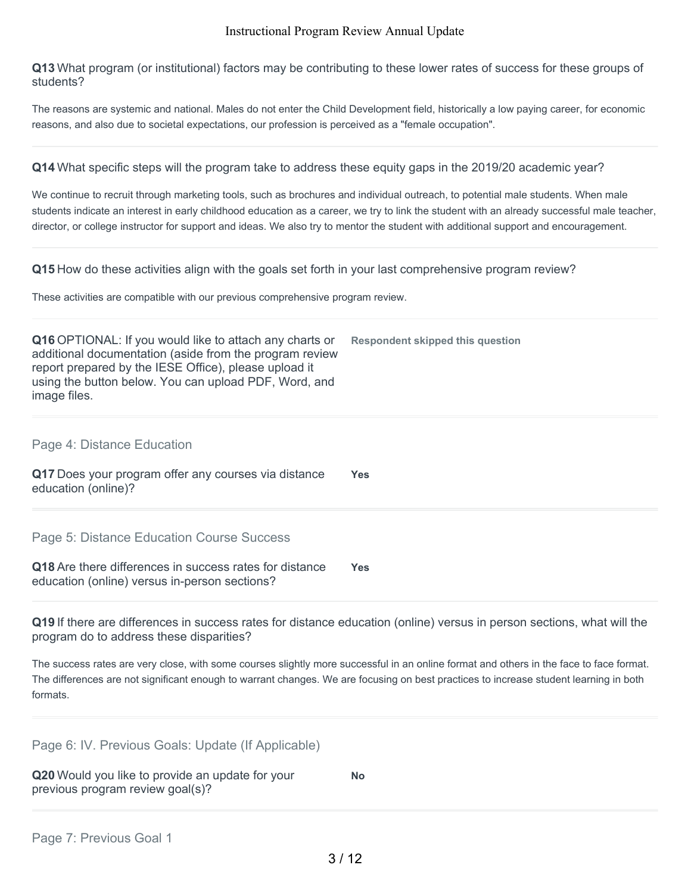**Q13** What program (or institutional) factors may be contributing to these lower rates of success for these groups of students?

The reasons are systemic and national. Males do not enter the Child Development field, historically a low paying career, for economic reasons, and also due to societal expectations, our profession is perceived as a "female occupation".

**Q14** What specific steps will the program take to address these equity gaps in the 2019/20 academic year?

We continue to recruit through marketing tools, such as brochures and individual outreach, to potential male students. When male students indicate an interest in early childhood education as a career, we try to link the student with an already successful male teacher, director, or college instructor for support and ideas. We also try to mentor the student with additional support and encouragement.

**Q15** How do these activities align with the goals set forth in your last comprehensive program review?

These activities are compatible with our previous comprehensive program review.

**Q19** If there are differences in success rates for distance education (online) versus in person sections, what will the program do to address these disparities?

The success rates are very close, with some courses slightly more successful in an online format and others in the face to face format. The differences are not significant enough to warrant changes. We are focusing on best practices to increase student learning in both formats.

| Page 6: IV. Previous Goals: Update (If Applicable) |  |  |  |  |  |  |
|----------------------------------------------------|--|--|--|--|--|--|
|----------------------------------------------------|--|--|--|--|--|--|

| Q20 Would you like to provide an update for your | No |
|--------------------------------------------------|----|
| previous program review goal(s)?                 |    |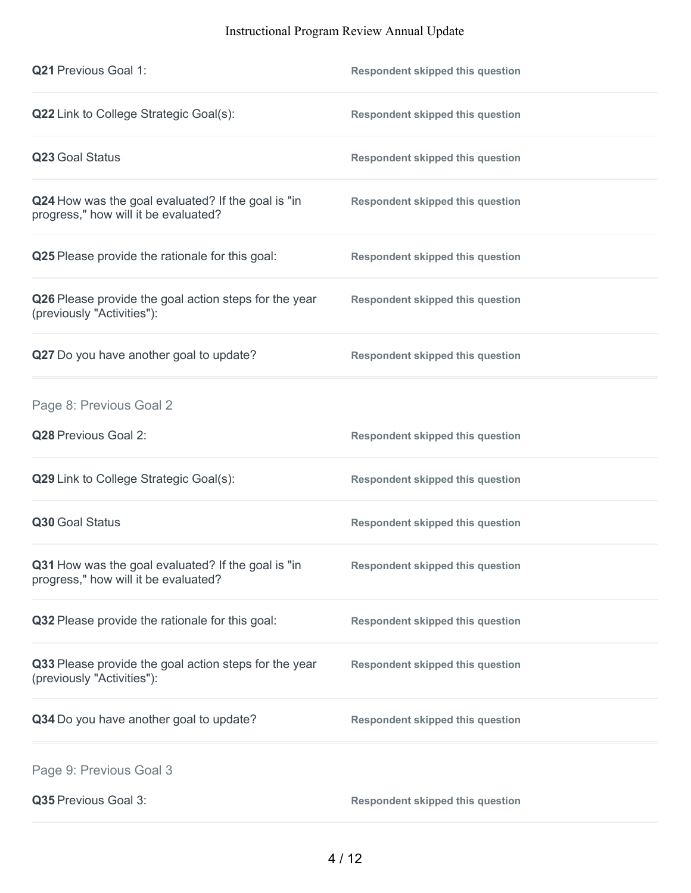| <b>Q21 Previous Goal 1:</b>                                                                | <b>Respondent skipped this question</b> |
|--------------------------------------------------------------------------------------------|-----------------------------------------|
| Q22 Link to College Strategic Goal(s):                                                     | <b>Respondent skipped this question</b> |
| Q23 Goal Status                                                                            | <b>Respondent skipped this question</b> |
| Q24 How was the goal evaluated? If the goal is "in<br>progress," how will it be evaluated? | <b>Respondent skipped this question</b> |
| Q25 Please provide the rationale for this goal:                                            | <b>Respondent skipped this question</b> |
| Q26 Please provide the goal action steps for the year<br>(previously "Activities"):        | <b>Respondent skipped this question</b> |
| Q27 Do you have another goal to update?                                                    | <b>Respondent skipped this question</b> |
| Page 8: Previous Goal 2                                                                    |                                         |
| Q28 Previous Goal 2:                                                                       | <b>Respondent skipped this question</b> |
| Q29 Link to College Strategic Goal(s):                                                     | <b>Respondent skipped this question</b> |
| Q30 Goal Status                                                                            | <b>Respondent skipped this question</b> |
| Q31 How was the goal evaluated? If the goal is "in<br>progress," how will it be evaluated? | <b>Respondent skipped this question</b> |
| Q32 Please provide the rationale for this goal:                                            | <b>Respondent skipped this question</b> |
| Q33 Please provide the goal action steps for the year<br>(previously "Activities"):        | <b>Respondent skipped this question</b> |
| Q34 Do you have another goal to update?                                                    | <b>Respondent skipped this question</b> |
| Page 9: Previous Goal 3                                                                    |                                         |
| Q35 Previous Goal 3:                                                                       | <b>Respondent skipped this question</b> |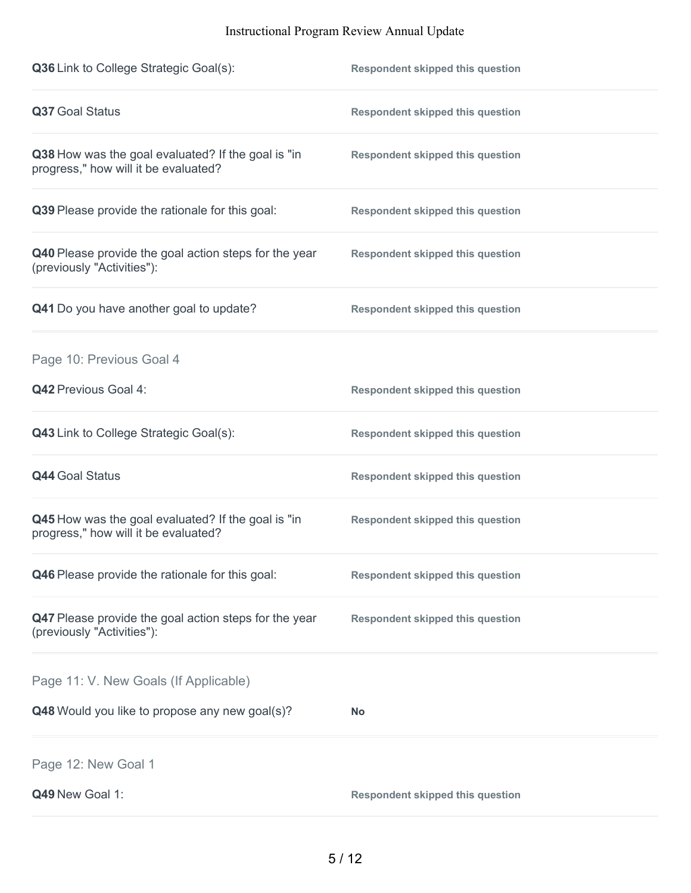| Q36 Link to College Strategic Goal(s):                                                     | <b>Respondent skipped this question</b> |
|--------------------------------------------------------------------------------------------|-----------------------------------------|
| Q37 Goal Status                                                                            | <b>Respondent skipped this question</b> |
| Q38 How was the goal evaluated? If the goal is "in<br>progress," how will it be evaluated? | <b>Respondent skipped this question</b> |
| Q39 Please provide the rationale for this goal:                                            | <b>Respondent skipped this question</b> |
| Q40 Please provide the goal action steps for the year<br>(previously "Activities"):        | <b>Respondent skipped this question</b> |
| Q41 Do you have another goal to update?                                                    | <b>Respondent skipped this question</b> |
| Page 10: Previous Goal 4                                                                   |                                         |
| <b>Q42 Previous Goal 4:</b>                                                                | <b>Respondent skipped this question</b> |
| Q43 Link to College Strategic Goal(s):                                                     | <b>Respondent skipped this question</b> |
| <b>Q44 Goal Status</b>                                                                     | <b>Respondent skipped this question</b> |
| Q45 How was the goal evaluated? If the goal is "in<br>progress," how will it be evaluated? | <b>Respondent skipped this question</b> |
| Q46 Please provide the rationale for this goal:                                            | <b>Respondent skipped this question</b> |
| Q47 Please provide the goal action steps for the year<br>(previously "Activities"):        | <b>Respondent skipped this question</b> |
| Page 11: V. New Goals (If Applicable)                                                      |                                         |
| Q48 Would you like to propose any new goal(s)?                                             | <b>No</b>                               |
| Page 12: New Goal 1                                                                        |                                         |
| Q49 New Goal 1:                                                                            | <b>Respondent skipped this question</b> |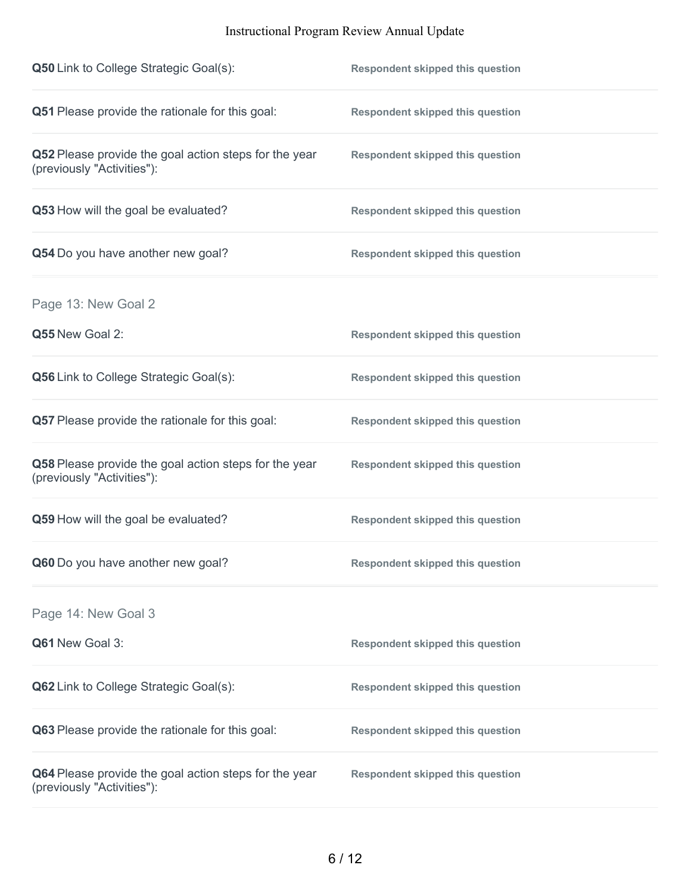| <b>Q50</b> Link to College Strategic Goal(s):                                       | <b>Respondent skipped this question</b> |
|-------------------------------------------------------------------------------------|-----------------------------------------|
| Q51 Please provide the rationale for this goal:                                     | <b>Respondent skipped this question</b> |
| Q52 Please provide the goal action steps for the year<br>(previously "Activities"): | <b>Respondent skipped this question</b> |
| Q53 How will the goal be evaluated?                                                 | <b>Respondent skipped this question</b> |
| Q54 Do you have another new goal?                                                   | <b>Respondent skipped this question</b> |
| Page 13: New Goal 2                                                                 |                                         |
| Q55 New Goal 2:                                                                     | <b>Respondent skipped this question</b> |
| Q56 Link to College Strategic Goal(s):                                              | <b>Respondent skipped this question</b> |
| Q57 Please provide the rationale for this goal:                                     | <b>Respondent skipped this question</b> |
| Q58 Please provide the goal action steps for the year<br>(previously "Activities"): | <b>Respondent skipped this question</b> |
| Q59 How will the goal be evaluated?                                                 | <b>Respondent skipped this question</b> |
| Q60 Do you have another new goal?                                                   | <b>Respondent skipped this question</b> |
| Page 14: New Goal 3                                                                 |                                         |
| Q61 New Goal 3:                                                                     | <b>Respondent skipped this question</b> |
| Q62 Link to College Strategic Goal(s):                                              | <b>Respondent skipped this question</b> |
| Q63 Please provide the rationale for this goal:                                     | <b>Respondent skipped this question</b> |
| Q64 Please provide the goal action steps for the year<br>(previously "Activities"): | <b>Respondent skipped this question</b> |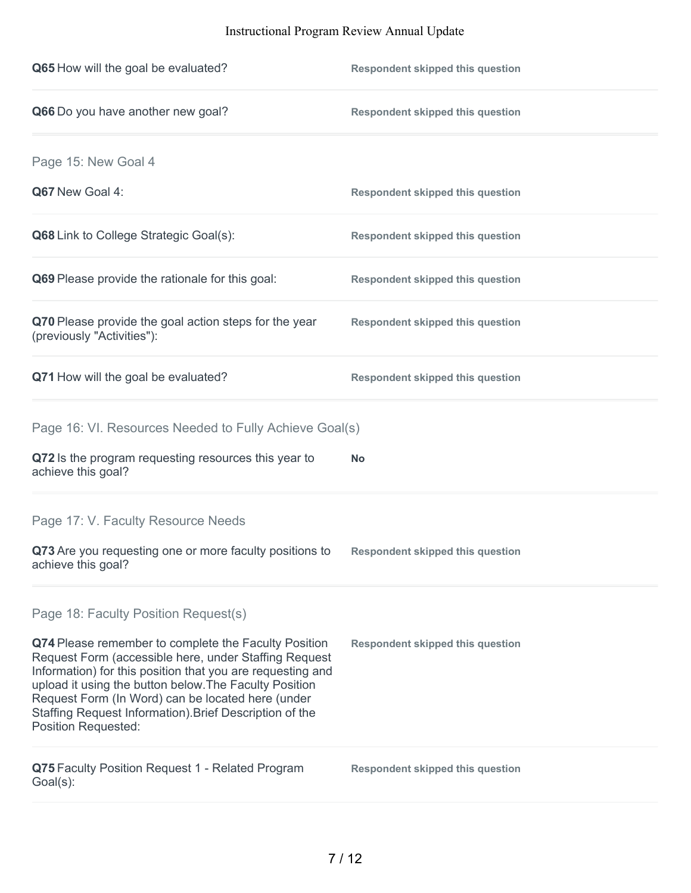| Q65 How will the goal be evaluated?                                                                                                                                                                                                                                                                                                                                          | <b>Respondent skipped this question</b> |
|------------------------------------------------------------------------------------------------------------------------------------------------------------------------------------------------------------------------------------------------------------------------------------------------------------------------------------------------------------------------------|-----------------------------------------|
| Q66 Do you have another new goal?                                                                                                                                                                                                                                                                                                                                            | <b>Respondent skipped this question</b> |
| Page 15: New Goal 4                                                                                                                                                                                                                                                                                                                                                          |                                         |
| Q67 New Goal 4:                                                                                                                                                                                                                                                                                                                                                              | <b>Respondent skipped this question</b> |
| Q68 Link to College Strategic Goal(s):                                                                                                                                                                                                                                                                                                                                       | <b>Respondent skipped this question</b> |
| Q69 Please provide the rationale for this goal:                                                                                                                                                                                                                                                                                                                              | <b>Respondent skipped this question</b> |
| Q70 Please provide the goal action steps for the year<br>(previously "Activities"):                                                                                                                                                                                                                                                                                          | <b>Respondent skipped this question</b> |
| Q71 How will the goal be evaluated?                                                                                                                                                                                                                                                                                                                                          | <b>Respondent skipped this question</b> |
| Page 16: VI. Resources Needed to Fully Achieve Goal(s)                                                                                                                                                                                                                                                                                                                       |                                         |
| Q72 Is the program requesting resources this year to<br>achieve this goal?                                                                                                                                                                                                                                                                                                   | No                                      |
| Page 17: V. Faculty Resource Needs                                                                                                                                                                                                                                                                                                                                           |                                         |
| Q73 Are you requesting one or more faculty positions to<br>achieve this goal?                                                                                                                                                                                                                                                                                                | <b>Respondent skipped this question</b> |
| Page 18: Faculty Position Request(s)                                                                                                                                                                                                                                                                                                                                         |                                         |
| Q74 Please remember to complete the Faculty Position<br>Request Form (accessible here, under Staffing Request<br>Information) for this position that you are requesting and<br>upload it using the button below. The Faculty Position<br>Request Form (In Word) can be located here (under<br>Staffing Request Information). Brief Description of the<br>Position Requested: | <b>Respondent skipped this question</b> |
| Q75 Faculty Position Request 1 - Related Program<br>Goal(s):                                                                                                                                                                                                                                                                                                                 | <b>Respondent skipped this question</b> |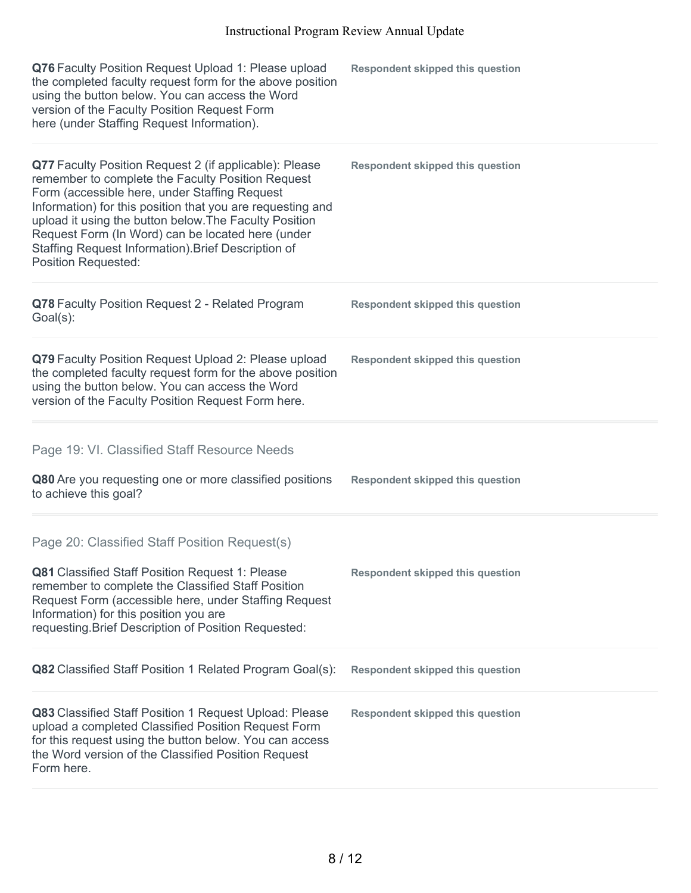| Q76 Faculty Position Request Upload 1: Please upload<br>the completed faculty request form for the above position<br>using the button below. You can access the Word<br>version of the Faculty Position Request Form<br>here (under Staffing Request Information).                                                                                                                                                             | <b>Respondent skipped this question</b> |
|--------------------------------------------------------------------------------------------------------------------------------------------------------------------------------------------------------------------------------------------------------------------------------------------------------------------------------------------------------------------------------------------------------------------------------|-----------------------------------------|
| Q77 Faculty Position Request 2 (if applicable): Please<br>remember to complete the Faculty Position Request<br>Form (accessible here, under Staffing Request<br>Information) for this position that you are requesting and<br>upload it using the button below. The Faculty Position<br>Request Form (In Word) can be located here (under<br>Staffing Request Information). Brief Description of<br><b>Position Requested:</b> | <b>Respondent skipped this question</b> |
| Q78 Faculty Position Request 2 - Related Program<br>Goal(s):                                                                                                                                                                                                                                                                                                                                                                   | <b>Respondent skipped this question</b> |
| Q79 Faculty Position Request Upload 2: Please upload<br>the completed faculty request form for the above position<br>using the button below. You can access the Word<br>version of the Faculty Position Request Form here.                                                                                                                                                                                                     | <b>Respondent skipped this question</b> |
|                                                                                                                                                                                                                                                                                                                                                                                                                                |                                         |
| Page 19: VI. Classified Staff Resource Needs                                                                                                                                                                                                                                                                                                                                                                                   |                                         |
| Q80 Are you requesting one or more classified positions<br>to achieve this goal?                                                                                                                                                                                                                                                                                                                                               | <b>Respondent skipped this question</b> |
| Page 20: Classified Staff Position Request(s)<br>Q81 Classified Staff Position Request 1: Please<br>remember to complete the Classified Staff Position<br>Request Form (accessible here, under Staffing Request<br>Information) for this position you are<br>requesting. Brief Description of Position Requested:                                                                                                              | <b>Respondent skipped this question</b> |
| Q82 Classified Staff Position 1 Related Program Goal(s):                                                                                                                                                                                                                                                                                                                                                                       | <b>Respondent skipped this question</b> |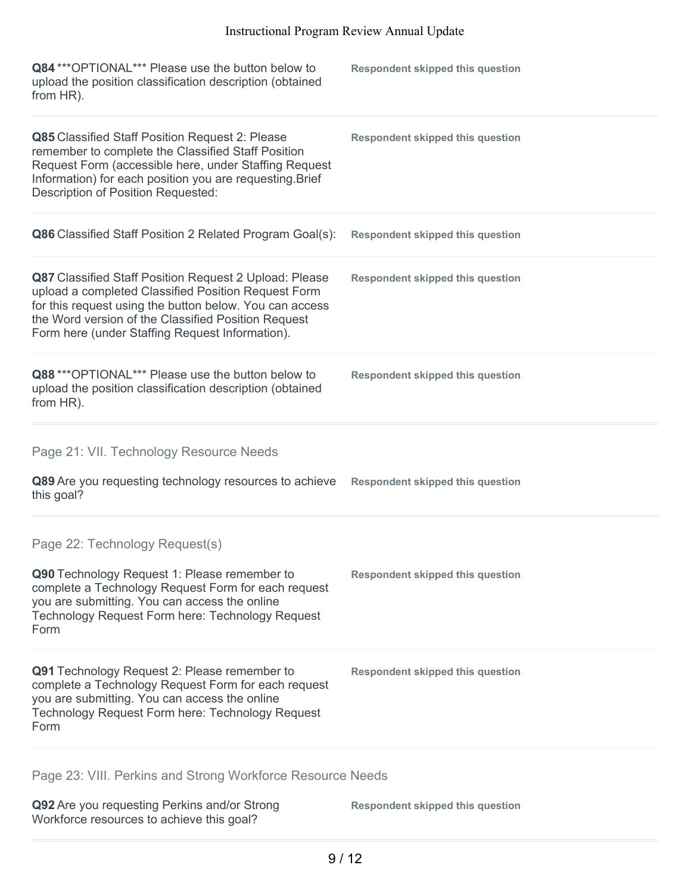| Q84 *** OPTIONAL*** Please use the button below to<br>upload the position classification description (obtained<br>from HR).                                                                                                                                                               | <b>Respondent skipped this question</b> |
|-------------------------------------------------------------------------------------------------------------------------------------------------------------------------------------------------------------------------------------------------------------------------------------------|-----------------------------------------|
| Q85 Classified Staff Position Request 2: Please<br>remember to complete the Classified Staff Position<br>Request Form (accessible here, under Staffing Request<br>Information) for each position you are requesting. Brief<br>Description of Position Requested:                          | <b>Respondent skipped this question</b> |
| Q86 Classified Staff Position 2 Related Program Goal(s):                                                                                                                                                                                                                                  | <b>Respondent skipped this question</b> |
| <b>Q87</b> Classified Staff Position Request 2 Upload: Please<br>upload a completed Classified Position Request Form<br>for this request using the button below. You can access<br>the Word version of the Classified Position Request<br>Form here (under Staffing Request Information). | <b>Respondent skipped this question</b> |
| Q88 *** OPTIONAL*** Please use the button below to<br>upload the position classification description (obtained<br>from HR).                                                                                                                                                               | <b>Respondent skipped this question</b> |
| Page 21: VII. Technology Resource Needs                                                                                                                                                                                                                                                   |                                         |
| Q89 Are you requesting technology resources to achieve<br>this goal?                                                                                                                                                                                                                      | <b>Respondent skipped this question</b> |
| Page 22: Technology Request(s)<br>Q90 Technology Request 1: Please remember to<br>complete a Technology Request Form for each request<br>you are submitting. You can access the online<br>Technology Request Form here: Technology Request<br>Form                                        | <b>Respondent skipped this question</b> |
| Q91 Technology Request 2: Please remember to<br>complete a Technology Request Form for each request<br>you are submitting. You can access the online<br>Technology Request Form here: Technology Request<br>Form                                                                          | <b>Respondent skipped this question</b> |
|                                                                                                                                                                                                                                                                                           |                                         |

Page 23: VIII. Perkins and Strong Workforce Resource Needs

**Q92** Are you requesting Perkins and/or Strong Workforce resources to achieve this goal?

**Respondent skipped this question**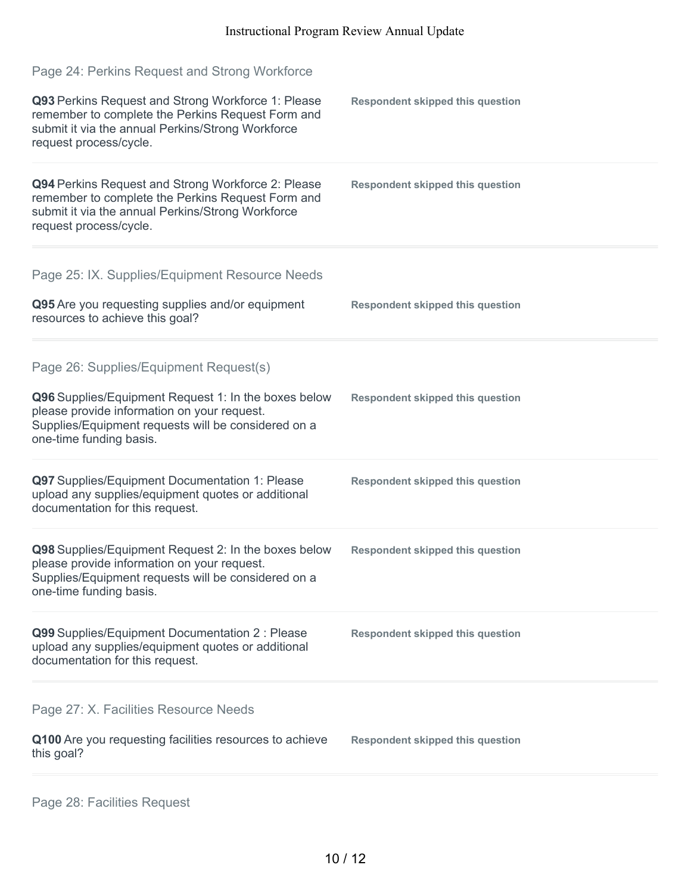| Page 24: Perkins Request and Strong Workforce                                                                                                                                          |                                         |
|----------------------------------------------------------------------------------------------------------------------------------------------------------------------------------------|-----------------------------------------|
| Q93 Perkins Request and Strong Workforce 1: Please<br>remember to complete the Perkins Request Form and<br>submit it via the annual Perkins/Strong Workforce<br>request process/cycle. | <b>Respondent skipped this question</b> |
| Q94 Perkins Request and Strong Workforce 2: Please<br>remember to complete the Perkins Request Form and<br>submit it via the annual Perkins/Strong Workforce<br>request process/cycle. | <b>Respondent skipped this question</b> |
| Page 25: IX. Supplies/Equipment Resource Needs<br>Q95 Are you requesting supplies and/or equipment                                                                                     | <b>Respondent skipped this question</b> |
| resources to achieve this goal?                                                                                                                                                        |                                         |
| Page 26: Supplies/Equipment Request(s)                                                                                                                                                 |                                         |
| Q96 Supplies/Equipment Request 1: In the boxes below<br>please provide information on your request.<br>Supplies/Equipment requests will be considered on a<br>one-time funding basis.  | <b>Respondent skipped this question</b> |
| Q97 Supplies/Equipment Documentation 1: Please<br>upload any supplies/equipment quotes or additional<br>documentation for this request.                                                | <b>Respondent skipped this question</b> |
| Q98 Supplies/Equipment Request 2: In the boxes below<br>please provide information on your request.<br>Supplies/Equipment requests will be considered on a<br>one-time funding basis.  | <b>Respondent skipped this question</b> |
| Q99 Supplies/Equipment Documentation 2 : Please<br>upload any supplies/equipment quotes or additional<br>documentation for this request.                                               | <b>Respondent skipped this question</b> |
| Page 27: X. Facilities Resource Needs                                                                                                                                                  |                                         |
| Q100 Are you requesting facilities resources to achieve<br>this goal?                                                                                                                  | <b>Respondent skipped this question</b> |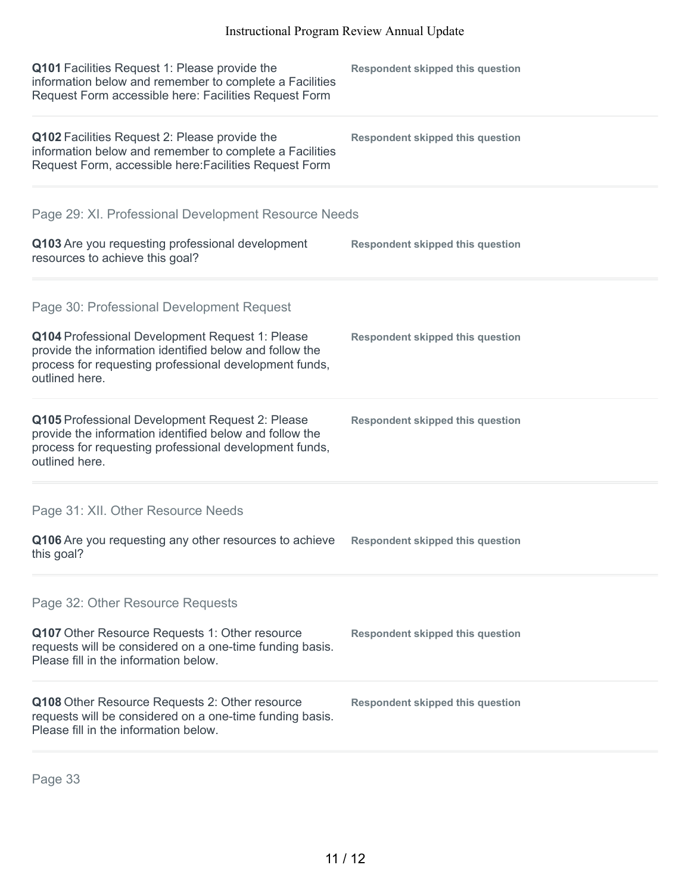| Q101 Facilities Request 1: Please provide the<br>information below and remember to complete a Facilities<br>Request Form accessible here: Facilities Request Form                      | <b>Respondent skipped this question</b> |
|----------------------------------------------------------------------------------------------------------------------------------------------------------------------------------------|-----------------------------------------|
| Q102 Facilities Request 2: Please provide the<br>information below and remember to complete a Facilities<br>Request Form, accessible here: Facilities Request Form                     | <b>Respondent skipped this question</b> |
| Page 29: XI. Professional Development Resource Needs                                                                                                                                   |                                         |
| Q103 Are you requesting professional development<br>resources to achieve this goal?                                                                                                    | <b>Respondent skipped this question</b> |
| Page 30: Professional Development Request                                                                                                                                              |                                         |
| Q104 Professional Development Request 1: Please<br>provide the information identified below and follow the<br>process for requesting professional development funds,<br>outlined here. | <b>Respondent skipped this question</b> |
| Q105 Professional Development Request 2: Please<br>provide the information identified below and follow the<br>process for requesting professional development funds,<br>outlined here. | <b>Respondent skipped this question</b> |
| Page 31: XII. Other Resource Needs                                                                                                                                                     |                                         |
| Q106 Are you requesting any other resources to achieve<br>this goal?                                                                                                                   | <b>Respondent skipped this question</b> |
| Page 32: Other Resource Requests                                                                                                                                                       |                                         |
| Q107 Other Resource Requests 1: Other resource<br>requests will be considered on a one-time funding basis.<br>Please fill in the information below.                                    | <b>Respondent skipped this question</b> |
| Q108 Other Resource Requests 2: Other resource<br>requests will be considered on a one-time funding basis.<br>Please fill in the information below.                                    | <b>Respondent skipped this question</b> |